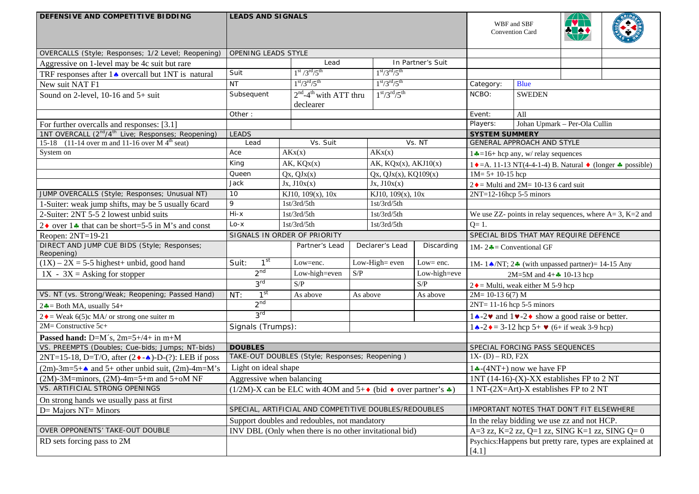| DEFENSIVE AND COMPETITIVE BIDDING                                          | <b>LEADS AND SIGNALS</b>                                                                     |  |                                                        |               | WBF and SBF<br>Convention Card             |                                                                 |                                                                                      | BRIDG                                                                   |                            |  |  |
|----------------------------------------------------------------------------|----------------------------------------------------------------------------------------------|--|--------------------------------------------------------|---------------|--------------------------------------------|-----------------------------------------------------------------|--------------------------------------------------------------------------------------|-------------------------------------------------------------------------|----------------------------|--|--|
| OVERCALLS (Style; Responses; 1/2 Level; Reopening)                         | OPENING LEADS STYLE                                                                          |  |                                                        |               |                                            |                                                                 |                                                                                      |                                                                         |                            |  |  |
| Aggressive on 1-level may be 4c suit but rare                              |                                                                                              |  | Lead                                                   |               |                                            | In Partner's Suit                                               |                                                                                      |                                                                         |                            |  |  |
| TRF responses after $1 \triangleleft$ overcall but 1NT is natural          | $1st / 3rd / 5th$<br>Suit                                                                    |  | $1st/3rd/5th$                                          |               |                                            |                                                                 |                                                                                      |                                                                         |                            |  |  |
| New suit NAT F1                                                            | $1st/3rd/5th$<br><b>NT</b>                                                                   |  | $1st/3rd/5th$                                          |               | <b>Blue</b><br>Category:                   |                                                                 |                                                                                      |                                                                         |                            |  |  |
| Sound on 2-level, $10-16$ and $5+$ suit                                    | $2nd - 4th$ with ATT thru<br>Subsequent<br>declearer                                         |  |                                                        | $1st/3rd/5th$ |                                            | NCBO:<br><b>SWEDEN</b>                                          |                                                                                      |                                                                         |                            |  |  |
|                                                                            | Other:                                                                                       |  |                                                        |               | Event:                                     | All                                                             |                                                                                      |                                                                         |                            |  |  |
| For further overcalls and responses: [3.1]                                 |                                                                                              |  |                                                        |               |                                            |                                                                 | Players:                                                                             | Johan Upmark - Per-Ola Cullin                                           |                            |  |  |
| 1NT OVERCALL (2 <sup>nd</sup> /4 <sup>th</sup> Live; Responses; Reopening) | <b>LEADS</b>                                                                                 |  |                                                        |               |                                            |                                                                 | <b>SYSTEM SUMMERY</b>                                                                |                                                                         |                            |  |  |
| 15-18 (11-14 over m and 11-16 over M $4^{\text{th}}$ seat)                 | Lead                                                                                         |  | Vs. Suit                                               |               |                                            | Vs. NT                                                          |                                                                                      |                                                                         | GENERAL APPROACH AND STYLE |  |  |
| System on                                                                  | Ace                                                                                          |  | AKx(x)                                                 |               | AKx(x)                                     |                                                                 |                                                                                      | $1 - 16 + \text{hcp any}, w / \text{ relay sequences}$                  |                            |  |  |
|                                                                            | King                                                                                         |  | AK, KQX(X)                                             |               | AK, $KQx(x)$ , $AKJ10(x)$                  |                                                                 | $1 \cdot A = A$ . 11-13 NT(4-4-1-4) B. Natural $\bullet$ (longer $\bullet$ possible) |                                                                         |                            |  |  |
|                                                                            | Queen                                                                                        |  | Qx, QJx(x)                                             |               | $Qx$ , $QJx(x)$ , $KQ109(x)$               |                                                                 | $1M = 5 + 10 - 15$ hcp                                                               |                                                                         |                            |  |  |
|                                                                            | Jack                                                                                         |  | Jx, J10x(x)                                            |               |                                            | Jx, J10x(x)                                                     |                                                                                      | $2 \triangleleft$ = Multi and 2M= 10-13 6 card suit                     |                            |  |  |
| JUMP OVERCALLS (Style; Responses; Unusual NT)                              | 10                                                                                           |  | KJ10, 109(x), 10x                                      |               | KJ10, 109(x), 10x                          |                                                                 | $2NT=12-16$ hcp 5-5 minors                                                           |                                                                         |                            |  |  |
| 1-Suiter: weak jump shifts, may be 5 usually 6card                         | 9<br>1st/3rd/5th<br>1st/3rd/5th                                                              |  |                                                        |               |                                            |                                                                 |                                                                                      |                                                                         |                            |  |  |
| 2-Suiter: 2NT 5-5 2 lowest unbid suits                                     | $Hi - x$                                                                                     |  | 1st/3rd/5th                                            |               | 1st/3rd/5th                                |                                                                 |                                                                                      | We use ZZ- points in relay sequences, where $A = 3$ , $K = 2$ and       |                            |  |  |
| 2 $\bullet$ over 1 $\bullet$ that can be short=5-5 in M's and const        | $Lo - x$                                                                                     |  | 1st/3rd/5th                                            |               | 1st/3rd/5th                                |                                                                 | $Q=1$ .                                                                              |                                                                         |                            |  |  |
| Reopen: $2NT=19-21$                                                        | SIGNALS IN ORDER OF PRIORITY                                                                 |  |                                                        |               |                                            | SPECIAL BIDS THAT MAY REQUIRE DEFENCE                           |                                                                                      |                                                                         |                            |  |  |
| DIRECT AND JUMP CUE BIDS (Style; Responses;<br>Reopening)                  | Partner's Lead                                                                               |  | Declarer's Lead                                        | Discarding    | 1M-2 $\clubsuit$ = Conventional GF         |                                                                 |                                                                                      |                                                                         |                            |  |  |
| $(1X) - 2X = 5-5$ highest+ unbid, good hand                                | 1 <sup>st</sup><br>Suit:                                                                     |  | Low=enc.                                               |               | $\overline{\text{Low-High}}$ even          | Low= enc.                                                       |                                                                                      | 1M-1A/NT; $2\cdot\!\!\!\!\sim$ (with unpassed partner)= 14-15 Any       |                            |  |  |
| $1X - 3X =$ Asking for stopper                                             | 2 <sup>nd</sup>                                                                              |  | Low-high=even                                          | S/P           |                                            | Low-high=eve                                                    | 2M=5M and $4 + 10 - 13$ hcp                                                          |                                                                         |                            |  |  |
|                                                                            | 3 <sup>rd</sup>                                                                              |  | S/P                                                    |               |                                            | $\ensuremath{\mathrm{S}}\xspace/\ensuremath{\mathrm{P}}\xspace$ | $2 \triangleleft$ = Multi, weak either M 5-9 hcp                                     |                                                                         |                            |  |  |
| VS. NT (vs. Strong/Weak; Reopening; Passed Hand)                           | 1 <sup>st</sup><br>NT:                                                                       |  | As above                                               | As above      |                                            | As above                                                        | $2M = 10-13$ 6(7) M                                                                  |                                                                         |                            |  |  |
| $2\clubsuit$ = Both MA, usually 54+                                        | 2 <sup>nd</sup>                                                                              |  |                                                        |               |                                            |                                                                 | $2NT = 11-16$ hcp 5-5 minors                                                         |                                                                         |                            |  |  |
| 2 ♦ = Weak 6(5)c MA/ or strong one suiter m                                | 3 <sup>rd</sup>                                                                              |  |                                                        |               |                                            |                                                                 |                                                                                      | $1 \triangle 2$ and $1 \vee 2 \triangle 3$ show a good raise or better. |                            |  |  |
| $2M =$ Constructive 5c+                                                    | Signals (Trumps):                                                                            |  |                                                        |               |                                            |                                                                 | $1 \cdot 2 \cdot 2 = 3 - 12$ hcp 5+ $\vee$ (6+ if weak 3-9 hcp)                      |                                                                         |                            |  |  |
| Passed hand: $D=M's$ , $2m=5+/4+$ in $m+M$                                 |                                                                                              |  |                                                        |               |                                            |                                                                 |                                                                                      |                                                                         |                            |  |  |
| VS. PREEMPTS (Doubles; Cue-bids; Jumps; NT-bids)                           | <b>DOUBLES</b>                                                                               |  |                                                        |               |                                            |                                                                 | SPECIAL FORCING PASS SEQUENCES                                                       |                                                                         |                            |  |  |
| 2NT=15-18, D=T/O, after $(2 \cdot \cdot \cdot)$ -D-(?): LEB if poss        |                                                                                              |  | TAKE-OUT DOUBLES (Style; Responses; Reopening)         |               |                                            |                                                                 | $1X - (D) - RD$ , F2X                                                                |                                                                         |                            |  |  |
| $(2m)$ -3m=5+ $\triangle$ and 5+ other unbid suit, $(2m)$ -4m=M's          | Light on ideal shape                                                                         |  |                                                        |               |                                            |                                                                 | $1 \div (4NT)$ now we have FP                                                        |                                                                         |                            |  |  |
| (2M)-3M=minors, (2M)-4m=5+m and 5+oM NF                                    | Aggressive when balancing                                                                    |  |                                                        |               | 1NT (14-16)-(X)-XX establishes FP to $2NT$ |                                                                 |                                                                                      |                                                                         |                            |  |  |
| VS. ARTIFICIAL STRONG OPENINGS                                             | $(1/2M)$ -X can be ELC with 4OM and 5+ $\bullet$ (bid $\bullet$ over partner's $\clubsuit$ ) |  |                                                        |               | 1 NT-(2X=Art)-X establishes FP to 2 NT     |                                                                 |                                                                                      |                                                                         |                            |  |  |
| On strong hands we usually pass at first                                   |                                                                                              |  |                                                        |               |                                            |                                                                 |                                                                                      |                                                                         |                            |  |  |
| $D=$ Majors NT= Minors                                                     |                                                                                              |  | SPECIAL, ARTIFICIAL AND COMPETITIVE DOUBLES/REDOUBLES  |               |                                            |                                                                 |                                                                                      | IMPORTANT NOTES THAT DON'T FIT ELSEWHERE                                |                            |  |  |
|                                                                            |                                                                                              |  | Support doubles and redoubles, not mandatory           |               |                                            |                                                                 | In the relay bidding we use zz and not HCP.                                          |                                                                         |                            |  |  |
| OVER OPPONENTS' TAKE-OUT DOUBLE                                            |                                                                                              |  | INV DBL (Only when there is no other invitational bid) |               |                                            |                                                                 |                                                                                      | A=3 zz, K=2 zz, Q=1 zz, SING K=1 zz, SING Q= $0$                        |                            |  |  |
| RD sets forcing pass to 2M                                                 | Psychics: Happens but pretty rare, types are explained at<br>[4.1]                           |  |                                                        |               |                                            |                                                                 |                                                                                      |                                                                         |                            |  |  |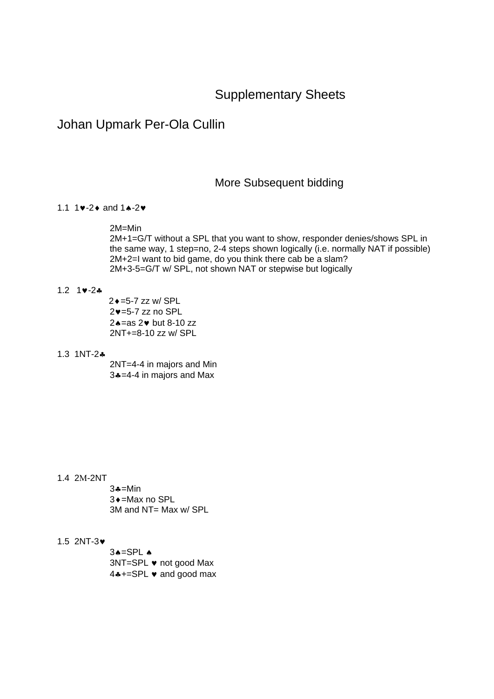# Supplementary Sheets

# Johan Upmark Per-Ola Cullin

## More Subsequent bidding

### 1.1 1 $\vee$ -2 $\uparrow$  and 1 $\uparrow$ -2 $\vee$

2M=Min

2M+1=G/T without a SPL that you want to show, responder denies/shows SPL in the same way, 1 step=no, 2-4 steps shown logically (i.e. normally NAT if possible) 2M+2=I want to bid game, do you think there cab be a slam? 2M+3-5=G/T w/ SPL, not shown NAT or stepwise but logically

### 1.2  $1 \cdot 2 \cdot 2 \cdot 3$

 2=5-7 zz w/ SPL  $2v = 5-7$  zz no SPL  $2 \triangle =$ as 2 $\triangleright$  but 8-10 zz 2NT+=8-10 zz w/ SPL

#### 1.3 1NT-2

2NT=4-4 in majors and Min 3=4-4 in majors and Max

#### 1.4 2M-2NT

 $3 - M$ in 3  $\bullet$  =Max no SPL 3M and NT= Max w/ SPL

### 1.5 2NT-3

 $3A=SPL$   $\triangle$  $3NT = SPL$   $\bullet$  not good Max 4\*+=SPL v and good max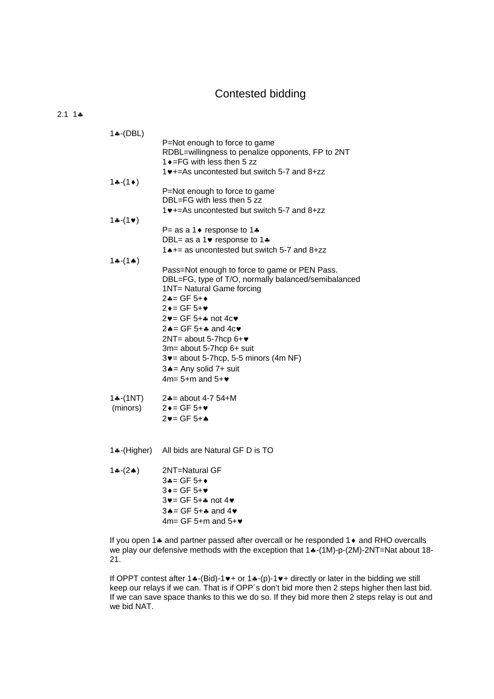# Contested bidding

### $2.1 \; 1 \cdot \bullet$

| $1$ $\ast$ -(DBL) |                                                                                           |
|-------------------|-------------------------------------------------------------------------------------------|
|                   | P=Not enough to force to game                                                             |
|                   | RDBL=willingness to penalize opponents, FP to 2NT<br>1 $\bullet$ = FG with less then 5 zz |
|                   | 1♥+=As uncontested but switch 5-7 and 8+zz                                                |
| $1 - (1)$         |                                                                                           |
|                   | P=Not enough to force to game                                                             |
|                   | DBL=FG with less then 5 zz                                                                |
|                   | 1♥+=As uncontested but switch 5-7 and 8+zz                                                |
| $1 - (1)$         |                                                                                           |
|                   | P= as a 1 $\bullet$ response to 1 $\clubsuit$                                             |
|                   | DBL= as a 1 $\bullet$ response to 1 $\clubsuit$                                           |
|                   | 1 <sup>*+</sup> = as uncontested but switch 5-7 and 8+zz                                  |
| $1 - (1)$         |                                                                                           |
|                   | Pass=Not enough to force to game or PEN Pass.                                             |
|                   | DBL=FG, type of T/O, normally balanced/semibalanced<br>1NT= Natural Game forcing          |
|                   | 2♣= GF 5+◆                                                                                |
|                   | $2 \div = GF 5 + \Psi$                                                                    |
|                   | $2\blacktriangledown$ = GF 5+ $\clubsuit$ not 4c $\blacktriangledown$                     |
|                   | $2 \triangle = GF 5 + \triangle$ and $4c \triangledown$                                   |
|                   | 2NT= about 5-7hcp 6+♥                                                                     |
|                   | 3m= about 5-7hcp 6+ suit                                                                  |
|                   | $3\blacktriangleright$ = about 5-7hcp, 5-5 minors (4m NF)                                 |
|                   | $3 \triangle =$ Any solid 7+ suit                                                         |
|                   | $4m = 5+m$ and $5+\vee$                                                                   |
| 1÷-(1NT)          | 2♣ = about 4-7 54+M                                                                       |
| (minors)          | $2 \rightarrow$ = GF 5+ $\triangledown$                                                   |
|                   | $2v = GF 5 + A$                                                                           |
|                   |                                                                                           |
|                   |                                                                                           |
| 1♣-(Higher)       | All bids are Natural GF D is TO                                                           |
| $1(-2)$           | 2NT=Natural GF                                                                            |
|                   | $3 - 9 = 5 + 6$                                                                           |
|                   | $3 \rightarrow = GF 5 + \bullet$                                                          |
|                   | 3v= GF 5+4 not 4v                                                                         |
|                   | $3 \triangle = GF 5 + \clubsuit$ and $4 \triangledown$                                    |
|                   | $4m = GF 5+m$ and $5+\vee$                                                                |

If you open 1 $\clubsuit$  and partner passed after overcall or he responded 1 $\spadesuit$  and RHO overcalls we play our defensive methods with the exception that  $1 \cdot (-1)$ -p-(2M)-2NT=Nat about 18-21.

If OPPT contest after 14-(Bid)-1 $\blacktriangleright$  or 14-(p)-1 $\blacktriangleright$  directly or later in the bidding we still keep our relays if we can. That is if OPP's don't bid more then 2 steps higher then last bid. If we can save space thanks to this we do so. If they bid more then 2 steps relay is out and we bid NAT.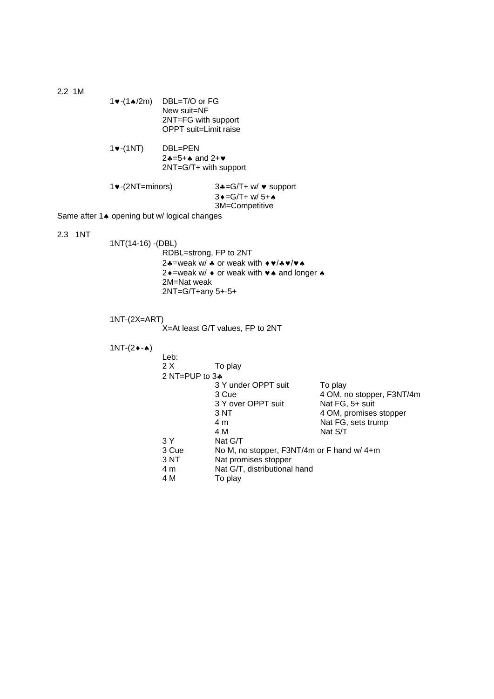2.2 1M 1 $\bullet$ -(1 $\bullet$ /2m) DBL=T/O or FG New suit=NF 2NT=FG with support OPPT suit=Limit raise  $1\blacktriangleright$ -(1NT) DBL=PEN  $2*-5+$  and  $2+\vee$  2NT=G/T+ with support  $1 \cdot (-2NT = \text{minors})$  3 $\cdot = G/T + w / \cdot \text{support}$  $3 \cdot = G/T + W/ 5 + \cdot$ 3M=Competitive Same after 1<sup>\*</sup> opening but w/ logical changes 2.3 1NT 1NT(14-16) -(DBL) RDBL=strong, FP to 2NT 24=weak w/  $\ast$  or weak with  $\ast \ast / \ast \ast / \ast \ast$ 2 $\rightarrow$  =weak w/ $\rightarrow$  or weak with  $\rightarrow \rightarrow$  and longer  $\rightarrow$  2M=Nat weak 2NT=G/T+any 5+-5+ 1NT-(2X=ART) X=At least G/T values, FP to 2NT  $1NT-(2 \cdot \cdot \cdot)$  Leb: 2 X To play 2 NT=PUP to 3 3 Y under OPPT suit To play<br>3 Cue 4 OM, n 4 OM, no stopper, F3NT/4m<br>Nat FG, 5+ suit 3 Y over OPPT suit<br>3 NT 3 NT 4 OM, promises stopper<br>4 m 4 m<br>
4 M<br>
4 M<br>
Nat S/T **4 M** Nat S/T 3 Y Nat G/T<br>3 Cue No M, no 3 Cue No M, no stopper, F3NT/4m or F hand w/ 4+m<br>3 NT Nat promises stopper 3 NT Nat promises stopper<br>4 m Nat G/T, distributional 4 m Nat G/T, distributional hand<br>4 M To play To play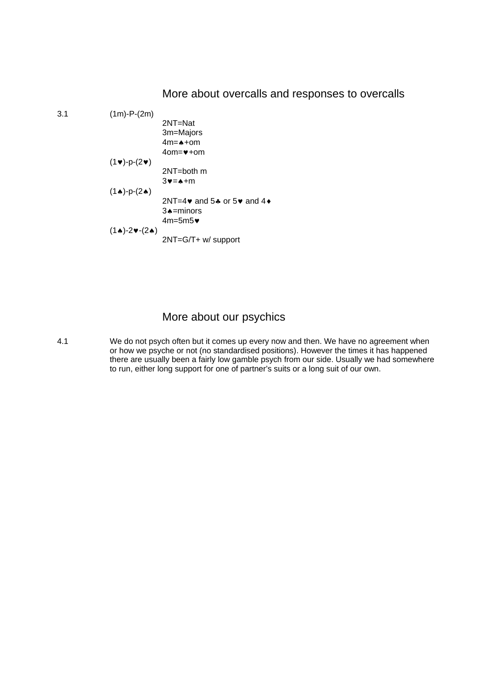## More about overcalls and responses to overcalls

3.1 (1m)-P-(2m) 2NT=Nat 3m=Majors  $4m = \spadesuit + om$  $4$ om= $+$ om  $(1\vee)$ -p- $(2\vee)$  2NT=both m  $3v = +m$  $(1 \cdot )$ -p- $(2 \cdot )$ 2NT=4 $\bullet$  and 5 $\bullet$  or 5 $\bullet$  and 4 $\bullet$ 3<sup>a</sup>=minors 4m=5m5  $(1\bullet)-2\nu-(2\bullet)$ 2NT=G/T+ w/ support

# More about our psychics

4.1 We do not psych often but it comes up every now and then. We have no agreement when or how we psyche or not (no standardised positions). However the times it has happened there are usually been a fairly low gamble psych from our side. Usually we had somewhere to run, either long support for one of partner's suits or a long suit of our own.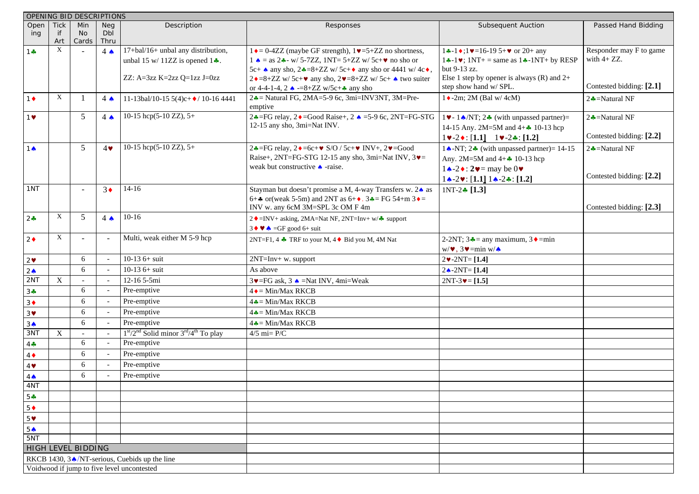| OPENING BID DESCRIPTIONS |             |                    |                          |                                               |                                                                                                     |                                                                        |                          |
|--------------------------|-------------|--------------------|--------------------------|-----------------------------------------------|-----------------------------------------------------------------------------------------------------|------------------------------------------------------------------------|--------------------------|
| Open                     | <b>Tick</b> | Min                | <b>Neg</b>               | Description                                   | Responses                                                                                           | <b>Subsequent Auction</b>                                              | Passed Hand Bidding      |
| ing                      | -if<br>Art  | No.<br>Cards       | <b>Dbl</b><br>Thru       |                                               |                                                                                                     |                                                                        |                          |
| 1 ÷                      | X           |                    | $4 \spadesuit$           | 17+bal/16+ unbal any distribution,            | $1 \cdot = 0$ -4ZZ (maybe GF strength), $1 \cdot = 5 + ZZ$ no shortness,                            | $1 \div -1 \div 1 \vee 16 - 19 \div 5 + \vee$ or 20+ any               | Responder may F to game  |
|                          |             |                    |                          | unbal 15 w/ 11ZZ is opened $1\clubsuit$ .     | $1 \triangle$ = as 2. w/ 5-7ZZ, 1NT= 5+ZZ w/ 5c+ $\triangledown$ no sho or                          | $1\div 1\mathbf{v}$ ; $1NT +$ = same as $1\div 1NT +$ by RESP          | with $4 + ZZ$ .          |
|                          |             |                    |                          |                                               | 5c+ $\bullet$ any sho, 2 $\bullet$ =8+ZZ w/5c+ $\bullet$ any sho or 4441 w/4c $\bullet$ ,           | but 9-13 zz.                                                           |                          |
|                          |             |                    |                          | ZZ: A=3zz K=2zz Q=1zz J=0zz                   | $2 \cdot 8 + ZZ$ w/5c+ $\cdot \cdot$ any sho, $2 \cdot 8 + ZZ$ w/5c+ $\cdot \cdot \cdot$ two suiter | Else 1 step by opener is always $(R)$ and $2+$                         |                          |
|                          |             |                    |                          |                                               | or 4-4-1-4, 2 $\triangle$ -=8+ZZ w/5c+ $\clubsuit$ any sho                                          | step show hand w/ SPL.                                                 | Contested bidding: [2.1] |
| $1 \bullet$              | X           |                    | $4 \spadesuit$           | 11-13bal/10-15 5(4)c+ $\bullet$ / 10-16 4441  | $2\clubsuit$ = Natural FG, 2MA=5-9 6c, 3mi=INV3NT, 3M=Pre-<br>emptive                               | $1 \rightarrow 2m$ ; 2M (Bal w/4cM)                                    | $2 -$ Natural NF         |
| $1$ $\blacktriangledown$ |             | 5                  | $4 \spadesuit$           | 10-15 hcp(5-10 ZZ), $5+$                      | 2. $\bullet$ = FG relay, 2. $\bullet$ = Good Raise +, 2. $\bullet$ = 5-9 6c, 2NT= FG-STG            | 1. $\bullet$ - 1. $\bullet$ /NT; 2. $\bullet$ (with unpassed partner)= | $2 -$ Natural NF         |
|                          |             |                    |                          |                                               | 12-15 any sho, 3mi=Nat INV.                                                                         | 14-15 Any. 2M=5M and $4 + 10 - 13$ hcp                                 |                          |
|                          |             |                    |                          |                                               |                                                                                                     | $1 \vee -2 \diamond : [1.1]$ $1 \vee -2 \diamond : [1.2]$              | Contested bidding: [2.2] |
| $1^$                     |             | 5                  | $4\bullet$               | 10-15 hcp(5-10 ZZ), $5+$                      | $2 \cdot \text{FG}$ relay, $2 \cdot \text{F6c+V}$ S/O / 5c+v INV+, $2 \cdot \text{F6od}$            | $1 \triangle$ -NT; $2 \triangleq$ (with unpassed partner)= 14-15       | $2 -$ Natural NF         |
|                          |             |                    |                          |                                               | Raise+, 2NT=FG-STG 12-15 any sho, 3mi=Nat INV, $3\blacktriangledown$ =                              | Any. $2M = 5M$ and $4 + 10 - 13$ hcp                                   |                          |
|                          |             |                    |                          |                                               | weak but constructive A -raise.                                                                     |                                                                        |                          |
|                          |             |                    |                          |                                               |                                                                                                     | $1 \cdot -2 \cdot : [1.1] 1 \cdot -2 \cdot : [1.2]$                    | Contested bidding: [2.2] |
| 1NT                      |             |                    | $3\bullet$               | $14-16$                                       | Stayman but doesn't promise a M, 4-way Transfers w. 24 as                                           | $1NT-2$ [1.3]                                                          |                          |
|                          |             |                    |                          |                                               | 6+ $\clubsuit$ or(weak 5-5m) and 2NT as 6+ $\bullet$ . 3 $\clubsuit$ = FG 54+m 3 $\bullet$ =        |                                                                        |                          |
|                          |             |                    |                          |                                               | INV w. any 6cM 3M=SPL 3c OM F 4m                                                                    |                                                                        | Contested bidding: [2.3] |
| $2 -$                    | X           | 5                  | $4 \spadesuit$           | $10 - 16$                                     | $2 \cdot = INV + \text{asking}, 2MA = Nat NF, 2NT = Inv + w / \cdot \text{ support}$                |                                                                        |                          |
|                          |             |                    |                          |                                               | $3 \blacklozenge \blacklozenge$ $\blacktriangle$ =GF good 6+ suit                                   |                                                                        |                          |
| $2\bullet$               | X           |                    |                          | Multi, weak either M 5-9 hcp                  | 2NT=F1, 4 $\clubsuit$ TRF to your M, 4 $\lozenge$ Bid you M, 4M Nat                                 | 2-2NT; $3 \triangleq$ = any maximum, $3 \triangleq$ = min              |                          |
|                          |             |                    |                          |                                               |                                                                                                     | $w/\blacktriangleright, 3\blacktriangleright = min w/\blacklozenge$    |                          |
| 2                        |             | 6                  |                          | $10-13$ 6+ suit                               | $2NT=Inv+w. support$                                                                                | $2 \cdot 2NT = [1.4]$                                                  |                          |
| 2 <sub>0</sub>           |             | 6                  |                          | $10-13$ 6+ suit                               | As above                                                                                            | $2 \triangle - 2NT = [1.4]$                                            |                          |
| 2NT                      | $\mathbf X$ |                    |                          | 12-16 5-5mi                                   | $3\blacktriangleright$ =FG ask, $3\blacktriangle$ =Nat INV, 4mi=Weak                                | $2NT-3 \blacktriangleright = [1.5]$                                    |                          |
| $3 -$                    |             | 6                  |                          | Pre-emptive                                   | $4 \triangleleft = Min/Max$ RKCB                                                                    |                                                                        |                          |
| $3\blacklozenge$         |             | 6                  |                          | Pre-emptive                                   | $4\clubsuit$ = Min/Max RKCB                                                                         |                                                                        |                          |
| 3 <sup>4</sup>           |             | 6                  |                          | Pre-emptive                                   | $4\clubsuit$ = Min/Max RKCB                                                                         |                                                                        |                          |
| 3 <sub>•</sub>           |             | 6                  |                          | Pre-emptive                                   | $4\clubsuit$ = Min/Max RKCB                                                                         |                                                                        |                          |
| 3NT                      | X           |                    |                          | $1st/2nd$ Solid minor $3rd/4th$ To play       | $4/5$ mi= $P/C$                                                                                     |                                                                        |                          |
| $4 -$                    |             | 6                  | $\overline{\phantom{a}}$ | Pre-emptive                                   |                                                                                                     |                                                                        |                          |
| $4\blacklozenge$         |             | 6                  |                          | Pre-emptive                                   |                                                                                                     |                                                                        |                          |
| $4$ $\blacktriangledown$ |             | 6                  |                          | Pre-emptive                                   |                                                                                                     |                                                                        |                          |
| $4 \spadesuit$           |             | 6                  |                          | Pre-emptive                                   |                                                                                                     |                                                                        |                          |
| 4NT                      |             |                    |                          |                                               |                                                                                                     |                                                                        |                          |
| $5 -$                    |             |                    |                          |                                               |                                                                                                     |                                                                        |                          |
| $5 \blacklozenge$        |             |                    |                          |                                               |                                                                                                     |                                                                        |                          |
| 5 <sup>4</sup>           |             |                    |                          |                                               |                                                                                                     |                                                                        |                          |
| 5 <sub>4</sub>           |             |                    |                          |                                               |                                                                                                     |                                                                        |                          |
| 5NT                      |             |                    |                          |                                               |                                                                                                     |                                                                        |                          |
|                          |             | HIGH LEVEL BIDDING |                          |                                               |                                                                                                     |                                                                        |                          |
|                          |             |                    |                          | RKCB 1430, 3♦/NT-serious, Cuebids up the line |                                                                                                     |                                                                        |                          |
|                          |             |                    |                          | Voidwood if jump to five level uncontested    |                                                                                                     |                                                                        |                          |